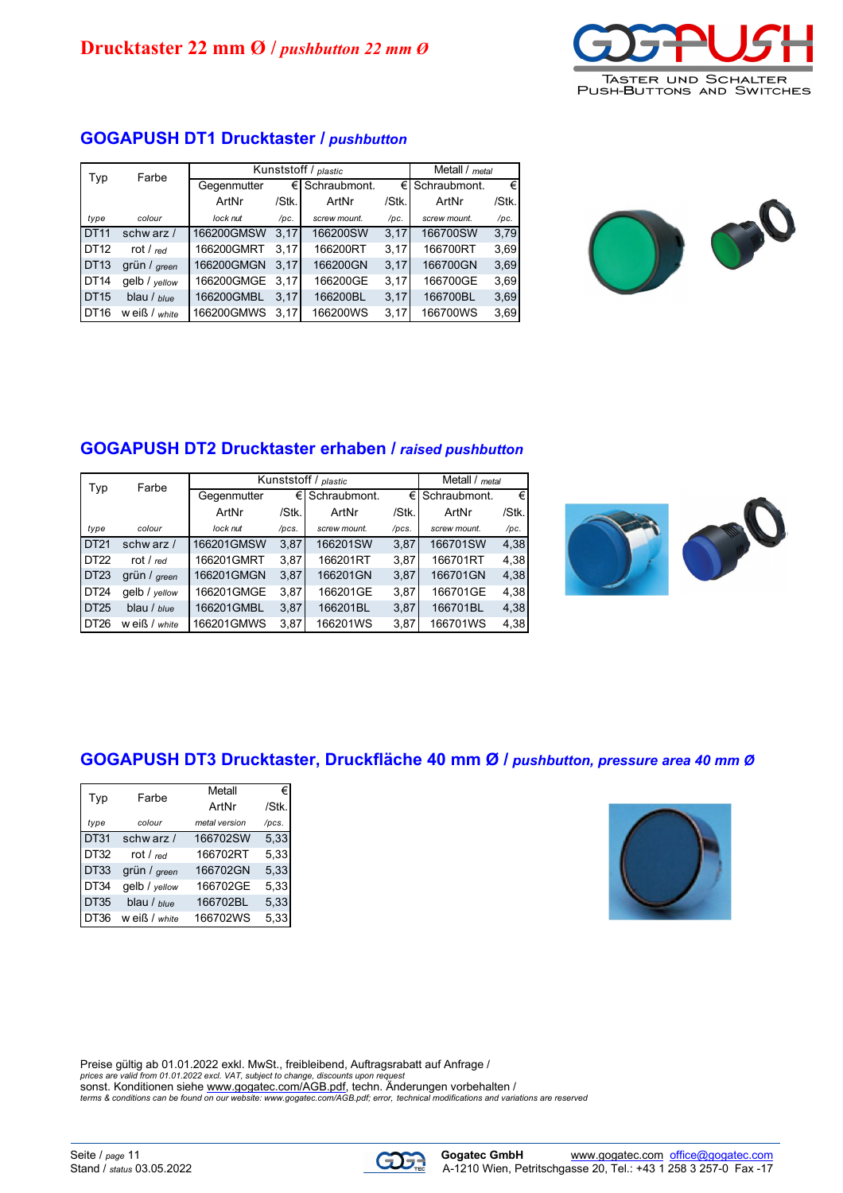

# **GOGAPUSH DT1 Drucktaster /** *pushbutton*

| Typ              | Farbe             | Kunststoff / plastic | Metall / metal |                    |       |                    |          |
|------------------|-------------------|----------------------|----------------|--------------------|-------|--------------------|----------|
|                  |                   | Gegenmutter          |                | $\in$ Schraubmont. |       | $\in$ Schraubmont. | €        |
|                  |                   | ArtNr                | /Stk.          | ArtNr              | /Stk. | ArtNr              | $ $ Stk. |
| type             | colour            | lock nut             | /pc.           | screw mount.       | /pc.  | screw mount.       | /pc.     |
| <b>DT11</b>      | schw arz /        | 166200GMSW           | 3.17           | 166200SW           | 3,17  | 166700SW           | 3,79     |
| DT12             | rot / $_{red}$    | 166200GMRT           | 3.17           | 166200RT           | 3,17  | 166700RT           | 3,69     |
| <b>DT13</b>      | grün / green      | 166200GMGN           | 3.17           | 166200GN           | 3,17  | 166700GN           | 3,69     |
| <b>DT14</b>      | gelb / yellow     | 166200GMGE           | 3.17           | 166200GE           | 3,17  | 166700GE           | 3,69     |
| DT <sub>15</sub> | blau / blue       | 166200GMBL           | 3.17           | 166200BL           | 3.17  | 166700BL           | 3,69     |
| <b>DT16</b>      | $w$ eiß / $white$ | 166200GMWS           | 3.17           | 166200WS           | 3,17  | 166700WS           | 3,69     |



## **GOGAPUSH DT2 Drucktaster erhaben /** *raised pushbutton*

| Typ         | Farbe         |             | Kunststoff / plastic |              |       |                    |       |
|-------------|---------------|-------------|----------------------|--------------|-------|--------------------|-------|
|             |               | Gegenmutter | €Ι                   | Schraubmont. |       | $€$ I Schraubmont. | €     |
|             |               | ArtNr       | /Stk.                | ArtNr        | /Stk. | ArtNr              | /Stk. |
| type        | colour        | lock nut    | /pcs.                | screw mount. | /pcs. | screw mount.       | /pc.  |
| DT21        | schw arz /    | 166201GMSW  | 3,87                 | 166201SW     | 3,87  | 166701SW           | 4,38  |
| DT22        | rot $/$ red   | 166201GMRT  | 3.87                 | 166201RT     | 3,87  | 166701RT           | 4,38  |
| <b>DT23</b> | grün / green  | 166201GMGN  | 3,87                 | 166201GN     | 3,87  | 166701GN           | 4,38  |
| <b>DT24</b> | gelb / vellow | 166201GMGE  | 3,87                 | 166201GE     | 3,87  | 166701GE           | 4,38  |
| DT25        | blau / blue   | 166201GMBL  | 3,87                 | 166201BL     | 3,87  | 166701BL           | 4,38  |
| DT26        | w eiß / white | 166201GMWS  | 3,87                 | 166201WS     | 3,87  | 166701WS           | 4,38  |



## **GOGAPUSH DT3 Drucktaster, Druckfläche 40 mm Ø /** *pushbutton, pressure area 40 mm Ø*

| Typ              | Farbe         | Metall        | €     |
|------------------|---------------|---------------|-------|
|                  |               | ArtNr         | /Stk. |
| type             | colour        | metal version | /pcs. |
| <b>DT31</b>      | schw arz /    | 166702SW      | 5,33  |
| DT <sub>32</sub> | rot / $red$   | 166702RT      | 5,33  |
| DT33             | grün / areen  | 166702GN      | 5,33  |
| DT34             | gelb / yellow | 166702GE      | 5,33  |
| DT35             | blau / blue   | 166702BL      | 5,33  |
| DT36             | Weiß / white  | 166702WS      | 5,33  |



Preise gültig ab 01.01.2022 exkl. MwSt., freibleibend, Auftragsrabatt auf Anfrage /<br>prices are valid from 01.01.2022 excl. VAT, subject to change, discounts upon request<br>sonst. Konditionen siehe <u>www.gogatec.com/AGB.pdf</u><br>t

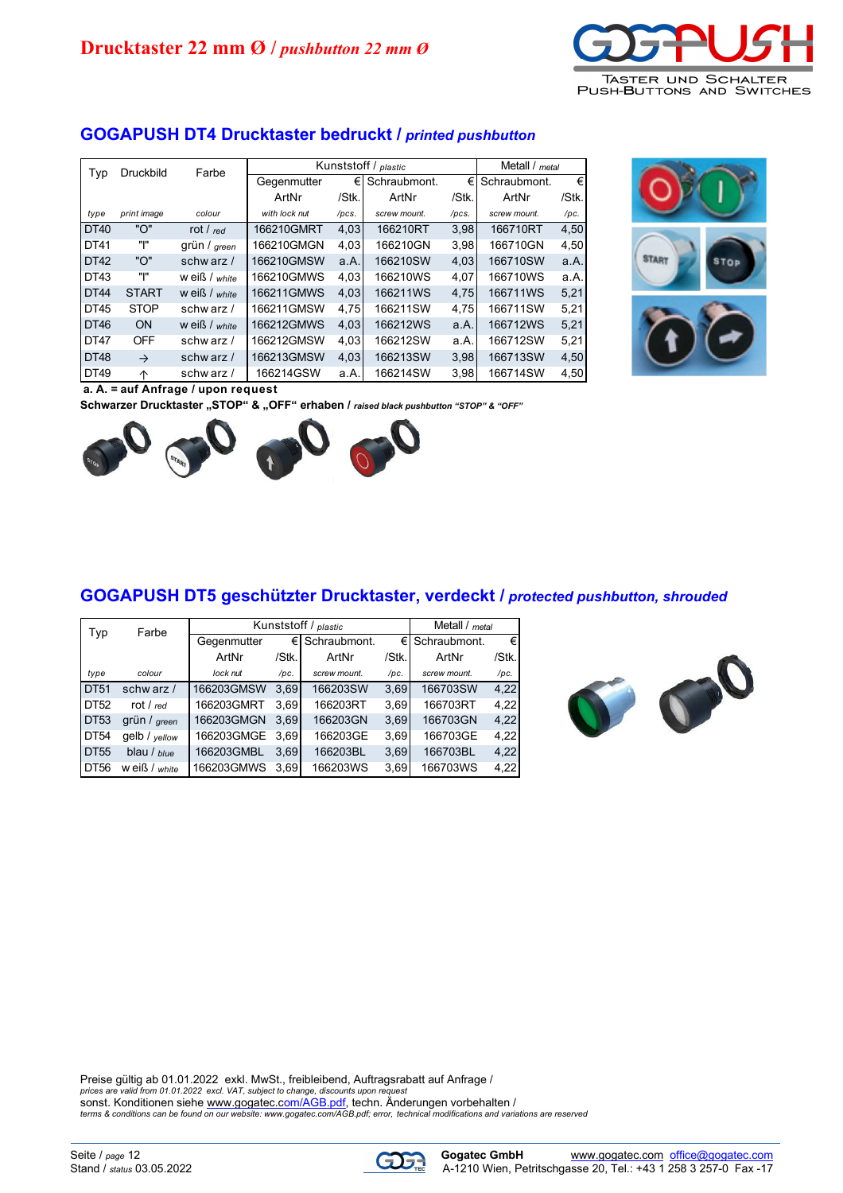

#### **GOGAPUSH DT4 Drucktaster bedruckt /** *printed pushbutton*

| Typ         | <b>Druckbild</b> | Farbe             |               |       | Kunststoff / plastic |       | Metall / metal |       |
|-------------|------------------|-------------------|---------------|-------|----------------------|-------|----------------|-------|
|             |                  |                   | Gegenmutter   | €     | Schraubmont.         | €     | Schraubmont.   | €     |
|             |                  |                   | ArtNr         | /Stk. | ArtNr                | /Stk. | ArtNr          | /Stk. |
| type        | print image      | colour            | with lock nut | /pcs. | screw mount.         | /pcs. | screw mount.   | /pc.  |
| <b>DT40</b> | "ነ"              | rot / $_{red}$    | 166210GMRT    | 4,03  | 166210RT             | 3,98  | 166710RT       | 4,50  |
| DT41        | ייו"             | grün / green      | 166210GMGN    | 4,03  | 166210GN             | 3,98  | 166710GN       | 4,50  |
| <b>DT42</b> | "ነ"              | schwarz $/$       | 166210GMSW    | a.A.  | 166210SW             | 4,03  | 166710SW       | a.A.  |
| DT43        | יו"              | $w$ eiß / $white$ | 166210GMWS    | 4.03  | 166210WS             | 4,07  | 166710WS       | a.A.  |
| <b>DT44</b> | <b>START</b>     | w eiß / white     | 166211GMWS    | 4.03  | 166211WS             | 4.75  | 166711WS       | 5,21  |
| DT45        | <b>STOP</b>      | schw arz /        | 166211GMSW    | 4.75  | 166211SW             | 4.75  | 166711SW       | 5,21  |
| DT46        | ON               | $w$ eiß / white   | 166212GMWS    | 4,03  | 166212WS             | a.A.  | 166712WS       | 5,21  |
| <b>DT47</b> | <b>OFF</b>       | schwarz $/$       | 166212GMSW    | 4.03  | 166212SW             | a.A.  | 166712SW       | 5,21  |
| <b>DT48</b> | $\rightarrow$    | schw arz $/$      | 166213GMSW    | 4,03  | 166213SW             | 3.98  | 166713SW       | 4,50  |
| DT49        | 个                | schw arz /        | 166214GSW     | a.A.  | 166214SW             | 3,98  | 166714SW       | 4,50  |



**a. A. = auf Anfrage / upon request**

Schwarzer Drucktaster "STOP" & "OFF" erhaben / *raised black pushbutton "STOP" & "OFF"* 



#### **GOGAPUSH DT5 geschützter Drucktaster, verdeckt /** *protected pushbutton, shrouded*

| Typ         | Farbe             |             |       | Kunststoff / plastic |       | Metall / metal     |       |
|-------------|-------------------|-------------|-------|----------------------|-------|--------------------|-------|
|             |                   | Gegenmutter | €Ι    | Schraubmont.         |       | $\in$ Schraubmont. | €     |
|             |                   | ArtNr       | /Stk. | ArtNr                | /Stk. | ArtNr              | /Stk. |
| type        | colour            | lock nut    | /pc.  | screw mount.         | /pc.  | screw mount.       | /pc.  |
| DT51        | schw arz /        | 166203GMSW  | 3,69  | 166203SW             | 3,69  | 166703SW           | 4,22  |
| DT52        | rot / $_{red}$    | 166203GMRT  | 3.69  | 166203RT             | 3.69  | 166703RT           | 4,22  |
| <b>DT53</b> | grün / green      | 166203GMGN  | 3.69  | 166203GN             | 3,69  | 166703GN           | 4,22  |
| <b>DT54</b> | gelb / yellow     | 166203GMGE  | 3.69  | 166203GE             | 3,69  | 166703GE           | 4,22  |
| DT55        | blau / blue       | 166203GMBL  | 3,69  | 166203BL             | 3,69  | 166703BL           | 4,22  |
| DT56        | $w$ eiß / $white$ | 166203GMWS  | 3.69  | 166203WS             | 3,69  | 166703WS           | 4,22  |



Preise gültig ab 01.01.2022 exkl. MwSt., freibleibend, Auftragsrabatt auf Anfrage / prices are valid from 01.01.2022 excl. VAT, subject to change, discounts upon request<br>sonst. Konditionen siehe <u>www.gogatec.com/AGB.pdf</u>, techn. Änderungen vorbehalten /<br>terms & conditions can be found on our website: www

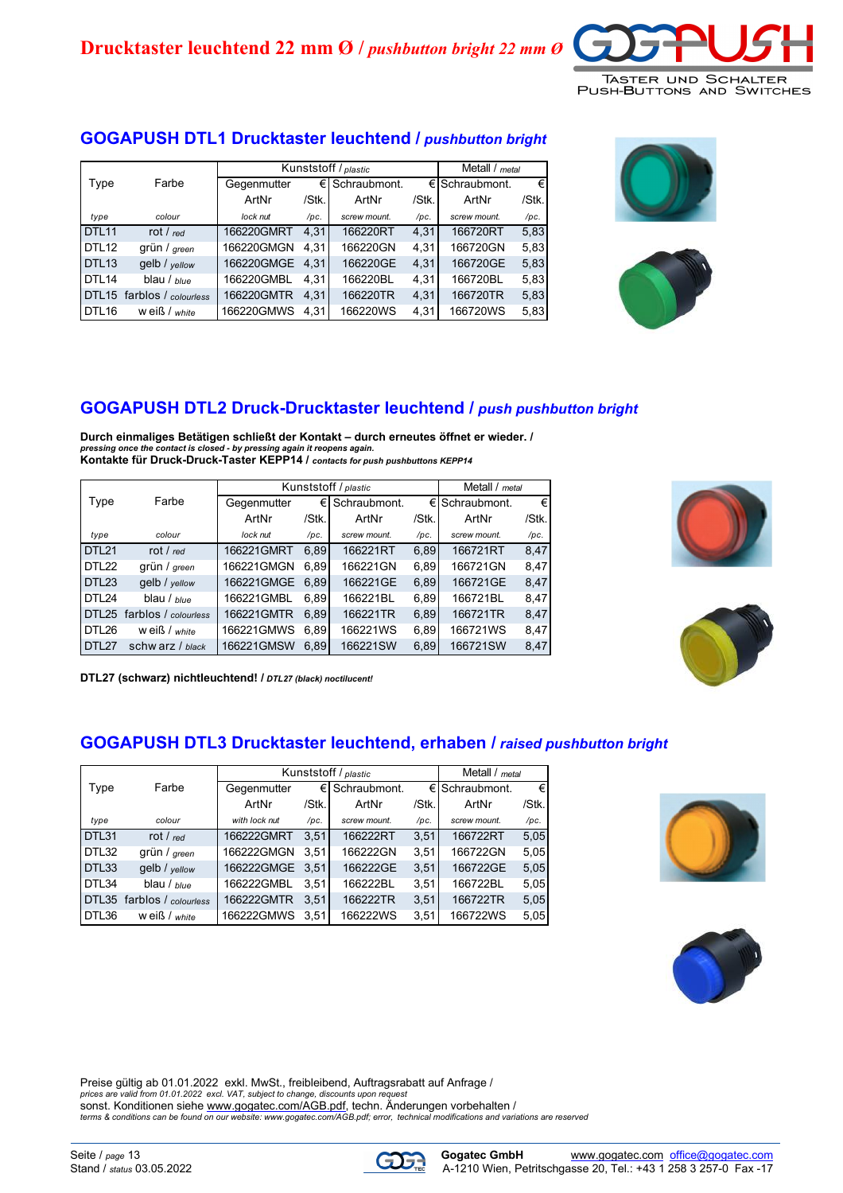

### **GOGAPUSH DTL1 Drucktaster leuchtend /** *pushbutton bright*

|                   |                      |             | Kunststoff / plastic |              |       |                         |       |  |
|-------------------|----------------------|-------------|----------------------|--------------|-------|-------------------------|-------|--|
| Type              | Farbe                | Gegenmutter | €                    | Schraubmont. |       | $\epsilon$ Schraubmont. | €     |  |
|                   |                      | ArtNr       | /Stk.                | ArtNr        | /Stk. | ArtNr                   | /Stk. |  |
| type              | colour               | lock nut    | /pc.                 | screw mount. | /pc.  | screw mount.            | /pc.  |  |
| DTL <sub>11</sub> | rot / $_{red}$       | 166220GMRT  | 4,31                 | 166220RT     | 4,31  | 166720RT                | 5,83  |  |
| DTL <sub>12</sub> | grün / green         | 166220GMGN  | 4.31                 | 166220GN     | 4.31  | 166720GN                | 5,83  |  |
| DTL <sub>13</sub> | gelb / yellow        | 166220GMGE  | 4.31                 | 166220GE     | 4,31  | 166720GE                | 5,83  |  |
| DTL <sub>14</sub> | blau / $blue$        | 166220GMBL  | 4.31                 | 166220BL     | 4,31  | 166720BL                | 5,83  |  |
| DTL <sub>15</sub> | farblos / colourless | 166220GMTR  | 4.31                 | 166220TR     | 4,31  | 166720TR                | 5,83  |  |
| DTL <sub>16</sub> | w eiß / $white$      | 166220GMWS  | 4,31                 | 166220WS     | 4,31  | 166720WS                | 5,83  |  |





### **GOGAPUSH DTL2 Druck-Drucktaster leuchtend /** *push pushbutton bright*

**Durch einmaliges Betätigen schließt der Kontakt – durch erneutes öffnet er wieder. /**  *pressing once the contact is closed - by pressing again it reopens again.* **Kontakte für Druck-Druck-Taster KEPP14 /** *contacts for push pushbuttons KEPP14*

|                   |                            |             |       | Kunststoff / plastic |       | Metall / metal     |       |
|-------------------|----------------------------|-------------|-------|----------------------|-------|--------------------|-------|
| Type              | Farbe                      | Gegenmutter | €     | Schraubmont.         |       | $\in$ Schraubmont. | €     |
|                   |                            | ArtNr       | /Stk. | ArtNr                | /Stk. | ArtNr              | /Stk. |
| type              | colour                     | lock nut    | /pc.  | screw mount.         | /pc.  | screw mount.       | /pc.  |
| DTL <sub>21</sub> | rot / $red$                | 166221GMRT  | 6.89  | 166221RT             | 6,89  | 166721RT           | 8,47  |
| DTL22             | grün / green               | 166221GMGN  | 6.89  | 166221GN             | 6,89  | 166721GN           | 8,47  |
| DTL <sub>23</sub> | gelb / yellow              | 166221GMGE  | 6.89  | 166221GE             | 6,89  | 166721GE           | 8,47  |
| DTL <sub>24</sub> | blau / $blue$              | 166221GMBL  | 6.89  | 166221BL             | 6,89  | 166721BL           | 8,47  |
|                   | DTL25 farblos / colourless | 166221GMTR  | 6.89  | 166221TR             | 6,89  | 166721TR           | 8,47  |
| DTL26             | w eiß / white              | 166221GMWS  | 6.89  | 166221WS             | 6.89  | 166721WS           | 8,47  |
| DTL <sub>27</sub> | schw arz / black           | 166221GMSW  | 6.89  | 166221SW             | 6,89  | 166721SW           | 8,47  |





**DTL27 (schwarz) nichtleuchtend! /** *DTL27 (black) noctilucent!*

#### **GOGAPUSH DTL3 Drucktaster leuchtend, erhaben /** *raised pushbutton bright*

|       |                            |               |        | Kunststoff / plastic |       | Metall / metal |       |
|-------|----------------------------|---------------|--------|----------------------|-------|----------------|-------|
| Type  | Farbe                      | Gegenmutter   | €      | Schraubmont.         | €     | Schraubmont.   | €     |
|       |                            | ArtNr         | /Stk.l | ArtNr                | /Stk. | ArtNr          | /Stk. |
| type  | colour                     | with lock nut | /pc.   | screw mount.         | /pc.  | screw mount.   | /pc.  |
| DTL31 | rot / $red$                | 166222GMRT    | 3.51   | 166222RT             | 3,51  | 166722RT       | 5,05  |
| DTL32 | grün / green               | 166222GMGN    | 3.51   | 166222GN             | 3.51  | 166722GN       | 5,05  |
| DTL33 | qelb / yellow              | 166222GMGE    | 3.51   | 166222GE             | 3,51  | 166722GE       | 5,05  |
| DTL34 | blau / $blue$              | 166222GMBL    | 3.51   | 166222BL             | 3,51  | 166722BL       | 5,05  |
|       | DTL35 farblos / colourless | 166222GMTR    | 3.51   | 166222TR             | 3,51  | 166722TR       | 5,05  |
| DTL36 | w eiß / white              | 166222GMWS    | 3.51   | 166222WS             | 3,51  | 166722WS       | 5,05  |





Preise gültig ab 01.01.2022 exkl. MwSt., freibleibend, Auftragsrabatt auf Anfrage / *prices are valid from 01.01.2022 excl. VAT, subject to change, discounts upon request* sonst. Konditionen siehe [www.gogatec.com/AGB.pdf,](www.gogatec.com/AGB.pdf) techn. Änderungen vorbehalten / *<terms & conditions can be found on our website: www.gogatec.com/AGB.pdf; error,> technical modifications and variations are reserved*





Seite / *page* 13 **Gogatec GmbH WWW.gogatec.com office@gogatec.com**<br>Stand / status 03.05.2022 **Gogatec.com of the Contract Contract Contract Contract A-1210 Wien, Petritschgasse 20, Tel.: +43 1 258 3 257-0 Fax -17** A-1210 Wien, Petritschgasse 20, Tel.: +43 1 258 3 257-0 Fax -17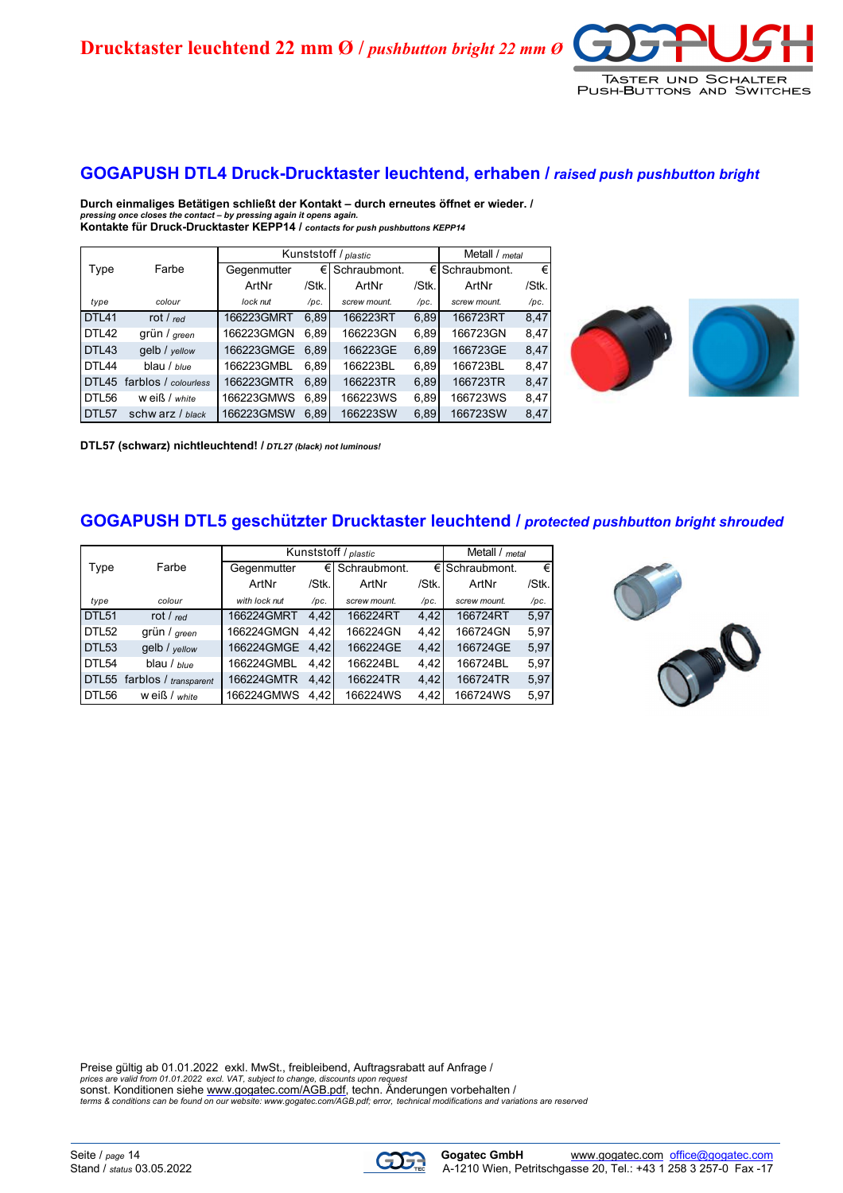**Drucktaster leuchtend 22 mm Ø /** *pushbutton bright 22 mm Ø*



#### **GOGAPUSH DTL4 Druck-Drucktaster leuchtend, erhaben /** *raised push pushbutton bright*

**Durch einmaliges Betätigen schließt der Kontakt – durch erneutes öffnet er wieder. /**  *pressing once closes the contact – by pressing again it opens again.* **Kontakte für Druck-Drucktaster KEPP14 /** *contacts for push pushbuttons KEPP14*

|                   |                      |             |       | Kunststoff / plastic |       | Metall / metal |       |
|-------------------|----------------------|-------------|-------|----------------------|-------|----------------|-------|
| Type              | Farbe                | Gegenmutter | €Ι    | Schraubmont.         | €     | Schraubmont.   | €     |
|                   |                      | ArtNr       | /Stk. | ArtNr                | /Stk. | ArtNr          | /Stk. |
| type              | colour               | lock nut    | /pc.  | screw mount.         | /pc.  | screw mount.   | /pc.  |
| DTL41             | rot / $red$          | 166223GMRT  | 6.89  | 166223RT             | 6,89  | 166723RT       | 8,47  |
| DTL42             | grün / green         | 166223GMGN  | 6.89  | 166223GN             | 6,89  | 166723GN       | 8,47  |
| DTL43             | gelb / yellow        | 166223GMGE  | 6.89  | 166223GE             | 6,89  | 166723GE       | 8,47  |
| DTL44             | blau / blue          | 166223GMBL  | 6.89  | 166223BL             | 6.89  | 166723BL       | 8,47  |
| DTL45             | farblos / colourless | 166223GMTR  | 6,89  | 166223TR             | 6,89  | 166723TR       | 8,47  |
| DTL56             | w eiß / white        | 166223GMWS  | 6.89  | 166223WS             | 6.89  | 166723WS       | 8,47  |
| DTL <sub>57</sub> | schw arz / black     | 166223GMSW  | 6.89  | 166223SW             | 6,89  | 166723SW       | 8,47  |



**DTL57 (schwarz) nichtleuchtend! /** *DTL27 (black) not luminous!*

#### **GOGAPUSH DTL5 geschützter Drucktaster leuchtend /** *protected pushbutton bright shrouded*

|                   |                       | Kunststoff / plastic | Metall / metal |              |       |                     |       |
|-------------------|-----------------------|----------------------|----------------|--------------|-------|---------------------|-------|
| Type              | Farbe                 | Gegenmutter          | €              | Schraubmont. |       | $\in$ ISchraubmont. | €     |
|                   |                       | ArtNr                | /Stk.          | ArtNr        | /Stk. | ArtNr               | /Stk. |
| type              | colour                | with lock nut        | /pc.           | screw mount. | /pc.  | screw mount.        | /pc.  |
| DTL <sub>51</sub> | rot / $red$           | 166224GMRT           | 4,42           | 166224RT     | 4,42  | 166724RT            | 5,97  |
| DTL52             | grün / green          | 166224GMGN           | 4.42           | 166224GN     | 4.42  | 166724GN            | 5,97  |
| DTL <sub>53</sub> | gelb / yellow         | 166224GMGE           | 4.42           | 166224GE     | 4,42  | 166724GE            | 5,97  |
| DTL54             | blau / $blue$         | 166224GMBL           | 4.42           | 166224BL     | 4,42  | 166724BL            | 5,97  |
| DTL <sub>55</sub> | farblos / transparent | 166224GMTR           | 4.42           | 166224TR     | 4,42  | 166724TR            | 5,97  |
| DTL56             | $w$ eiß / $white$     | 166224GMWS           | 4.42           | 166224WS     | 4,42  | 166724WS            | 5,97  |



Preise gültig ab 01.01.2022 exkl. MwSt., freibleibend, Auftragsrabatt auf Anfrage / *prices are valid from 01.01.2022 excl. VAT, subject to change, discounts upon request* sonst. Konditionen siehe [www.gogatec.com/AGB.pdf,](www.gogatec.com/AGB.pdf) techn. Änderungen vorbehalten / *terms & conditions can be found on our <website: www.gogatec.com/AGB.pdf; error,> technical modifications and variations are reserved*